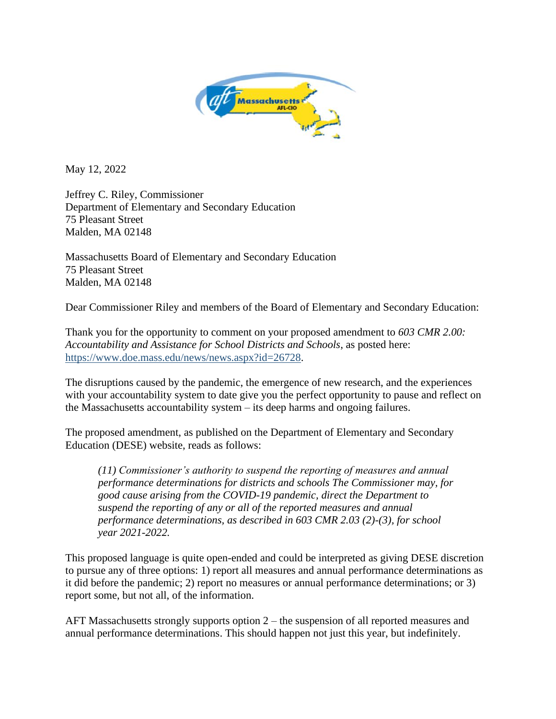

May 12, 2022

Jeffrey C. Riley, Commissioner Department of Elementary and Secondary Education 75 Pleasant Street Malden, MA 02148

Massachusetts Board of Elementary and Secondary Education 75 Pleasant Street Malden, MA 02148

Dear Commissioner Riley and members of the Board of Elementary and Secondary Education:

Thank you for the opportunity to comment on your proposed amendment to *603 CMR 2.00: Accountability and Assistance for School Districts and Schools*, as posted here: [https://www.doe.mass.edu/news/news.aspx?id=26728.](https://www.doe.mass.edu/news/news.aspx?id=26728)

The disruptions caused by the pandemic, the emergence of new research, and the experiences with your accountability system to date give you the perfect opportunity to pause and reflect on the Massachusetts accountability system – its deep harms and ongoing failures.

The proposed amendment, as published on the Department of Elementary and Secondary Education (DESE) website, reads as follows:

*(11) Commissioner's authority to suspend the reporting of measures and annual performance determinations for districts and schools The Commissioner may, for good cause arising from the COVID-19 pandemic, direct the Department to suspend the reporting of any or all of the reported measures and annual performance determinations, as described in 603 CMR 2.03 (2)-(3), for school year 2021-2022.*

This proposed language is quite open-ended and could be interpreted as giving DESE discretion to pursue any of three options: 1) report all measures and annual performance determinations as it did before the pandemic; 2) report no measures or annual performance determinations; or 3) report some, but not all, of the information.

AFT Massachusetts strongly supports option 2 – the suspension of all reported measures and annual performance determinations. This should happen not just this year, but indefinitely.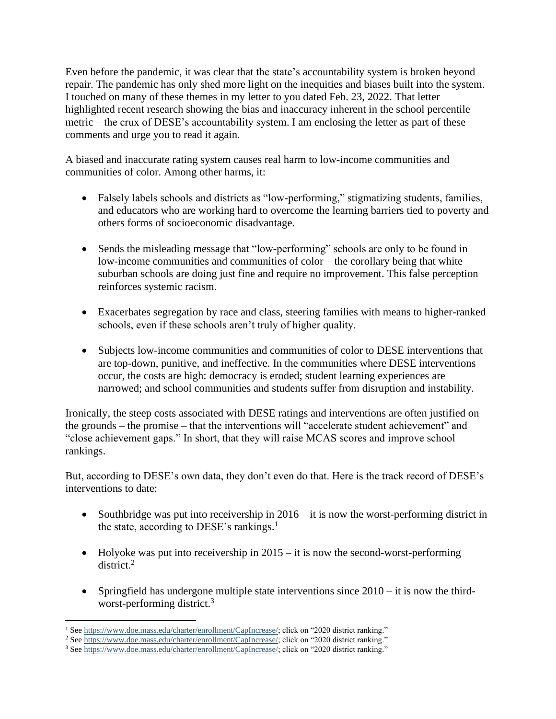Even before the pandemic, it was clear that the state's accountability system is broken beyond repair. The pandemic has only shed more light on the inequities and biases built into the system. I touched on many of these themes in my letter to you dated Feb. 23, 2022. That letter highlighted recent research showing the bias and inaccuracy inherent in the school percentile metric – the crux of DESE's accountability system. I am enclosing the letter as part of these comments and urge you to read it again.

A biased and inaccurate rating system causes real harm to low-income communities and communities of color. Among other harms, it:

- Falsely labels schools and districts as "low-performing," stigmatizing students, families, and educators who are working hard to overcome the learning barriers tied to poverty and others forms of socioeconomic disadvantage.
- Sends the misleading message that "low-performing" schools are only to be found in low-income communities and communities of color – the corollary being that white suburban schools are doing just fine and require no improvement. This false perception reinforces systemic racism.
- Exacerbates segregation by race and class, steering families with means to higher-ranked schools, even if these schools aren't truly of higher quality.
- Subjects low-income communities and communities of color to DESE interventions that are top-down, punitive, and ineffective. In the communities where DESE interventions occur, the costs are high: democracy is eroded; student learning experiences are narrowed; and school communities and students suffer from disruption and instability.

Ironically, the steep costs associated with DESE ratings and interventions are often justified on the grounds – the promise – that the interventions will "accelerate student achievement" and "close achievement gaps." In short, that they will raise MCAS scores and improve school rankings.

But, according to DESE's own data, they don't even do that. Here is the track record of DESE's interventions to date:

- Southbridge was put into receivership in  $2016 it$  is now the worst-performing district in the state, according to DESE's rankings.<sup>1</sup>
- Holyoke was put into receivership in  $2015 it$  is now the second-worst-performing district. 2
- Springfield has undergone multiple state interventions since  $2010 i$  t is now the thirdworst-performing district.<sup>3</sup>

<sup>&</sup>lt;sup>1</sup> Se[e https://www.doe.mass.edu/charter/enrollment/CapIncrease/;](https://www.doe.mass.edu/charter/enrollment/CapIncrease/) click on "2020 district ranking."

<sup>2</sup> Se[e https://www.doe.mass.edu/charter/enrollment/CapIncrease/;](https://www.doe.mass.edu/charter/enrollment/CapIncrease/) click on "2020 district ranking."

<sup>&</sup>lt;sup>3</sup> Se[e https://www.doe.mass.edu/charter/enrollment/CapIncrease/;](https://www.doe.mass.edu/charter/enrollment/CapIncrease/) click on "2020 district ranking."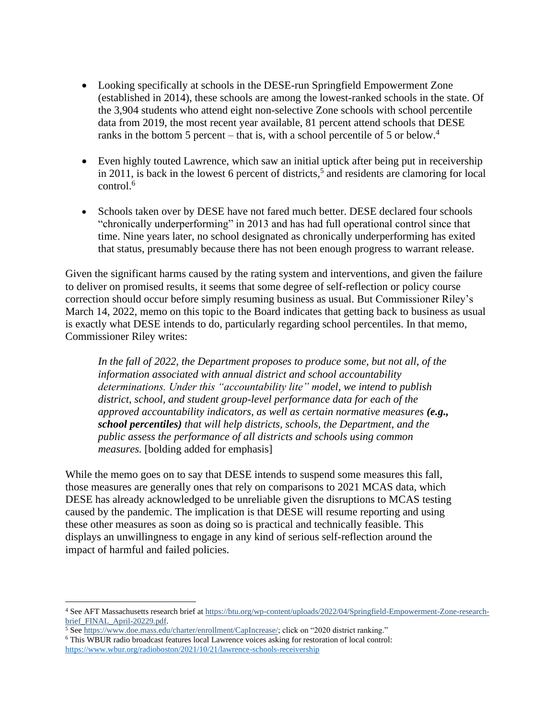- Looking specifically at schools in the DESE-run Springfield Empowerment Zone (established in 2014), these schools are among the lowest-ranked schools in the state. Of the 3,904 students who attend eight non-selective Zone schools with school percentile data from 2019, the most recent year available, 81 percent attend schools that DESE ranks in the bottom 5 percent – that is, with a school percentile of 5 or below.<sup>4</sup>
- Even highly touted Lawrence, which saw an initial uptick after being put in receivership in 2011, is back in the lowest 6 percent of districts, 5 and residents are clamoring for local control.<sup>6</sup>
- Schools taken over by DESE have not fared much better. DESE declared four schools "chronically underperforming" in 2013 and has had full operational control since that time. Nine years later, no school designated as chronically underperforming has exited that status, presumably because there has not been enough progress to warrant release.

Given the significant harms caused by the rating system and interventions, and given the failure to deliver on promised results, it seems that some degree of self-reflection or policy course correction should occur before simply resuming business as usual. But Commissioner Riley's March 14, 2022, memo on this topic to the Board indicates that getting back to business as usual is exactly what DESE intends to do, particularly regarding school percentiles. In that memo, Commissioner Riley writes:

*In the fall of 2022, the Department proposes to produce some, but not all, of the information associated with annual district and school accountability determinations. Under this "accountability lite" model, we intend to publish district, school, and student group-level performance data for each of the approved accountability indicators, as well as certain normative measures (e.g., school percentiles) that will help districts, schools, the Department, and the public assess the performance of all districts and schools using common measures.* [bolding added for emphasis]

While the memo goes on to say that DESE intends to suspend some measures this fall, those measures are generally ones that rely on comparisons to 2021 MCAS data, which DESE has already acknowledged to be unreliable given the disruptions to MCAS testing caused by the pandemic. The implication is that DESE will resume reporting and using these other measures as soon as doing so is practical and technically feasible. This displays an unwillingness to engage in any kind of serious self-reflection around the impact of harmful and failed policies.

<sup>4</sup> See AFT Massachusetts research brief at [https://btu.org/wp-content/uploads/2022/04/Springfield-Empowerment-Zone-research](https://btu.org/wp-content/uploads/2022/04/Springfield-Empowerment-Zone-research-brief_FINAL_April-20229.pdf)[brief\\_FINAL\\_April-20229.pdf.](https://btu.org/wp-content/uploads/2022/04/Springfield-Empowerment-Zone-research-brief_FINAL_April-20229.pdf)

<sup>5</sup> Se[e https://www.doe.mass.edu/charter/enrollment/CapIncrease/;](https://www.doe.mass.edu/charter/enrollment/CapIncrease/) click on "2020 district ranking."

<sup>6</sup> This WBUR radio broadcast features local Lawrence voices asking for restoration of local control:

<https://www.wbur.org/radioboston/2021/10/21/lawrence-schools-receivership>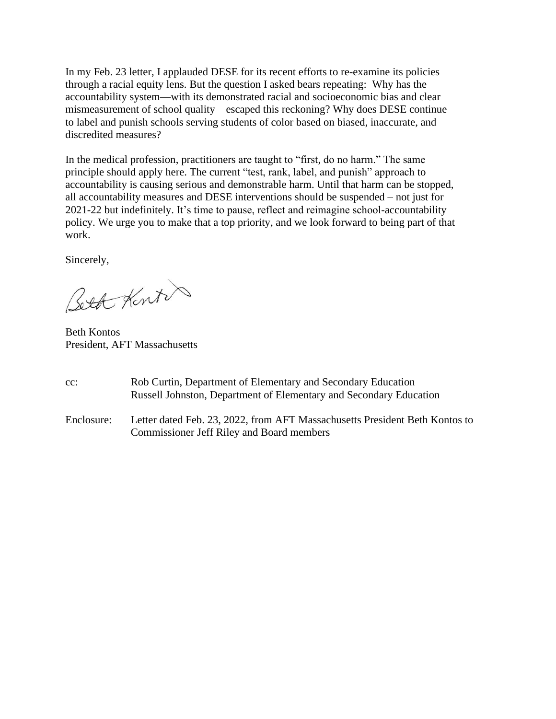In my Feb. 23 letter, I applauded DESE for its recent efforts to re-examine its policies through a racial equity lens. But the question I asked bears repeating: Why has the accountability system—with its demonstrated racial and socioeconomic bias and clear mismeasurement of school quality—escaped this reckoning? Why does DESE continue to label and punish schools serving students of color based on biased, inaccurate, and discredited measures?

In the medical profession, practitioners are taught to "first, do no harm." The same principle should apply here. The current "test, rank, label, and punish" approach to accountability is causing serious and demonstrable harm. Until that harm can be stopped, all accountability measures and DESE interventions should be suspended – not just for 2021-22 but indefinitely. It's time to pause, reflect and reimagine school-accountability policy. We urge you to make that a top priority, and we look forward to being part of that work.

Sincerely,

Beth Kint

Beth Kontos President, AFT Massachusetts

- cc: Rob Curtin, Department of Elementary and Secondary Education Russell Johnston, Department of Elementary and Secondary Education
- Enclosure: Letter dated Feb. 23, 2022, from AFT Massachusetts President Beth Kontos to Commissioner Jeff Riley and Board members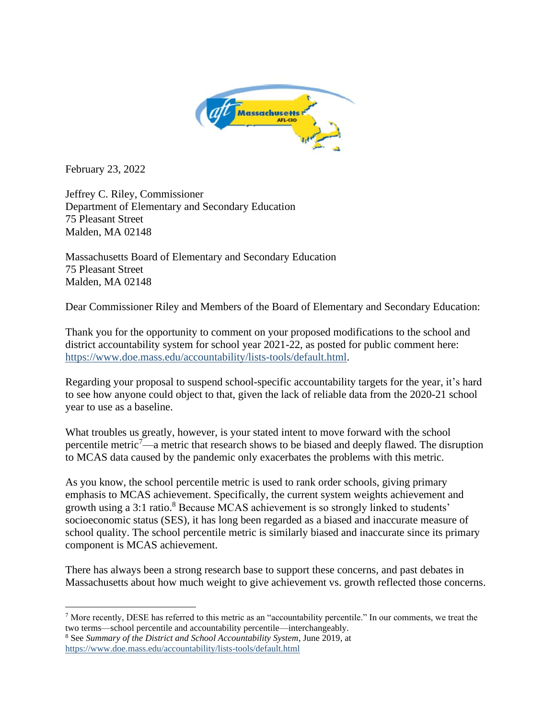

February 23, 2022

Jeffrey C. Riley, Commissioner Department of Elementary and Secondary Education 75 Pleasant Street Malden, MA 02148

Massachusetts Board of Elementary and Secondary Education 75 Pleasant Street Malden, MA 02148

Dear Commissioner Riley and Members of the Board of Elementary and Secondary Education:

Thank you for the opportunity to comment on your proposed modifications to the school and district accountability system for school year 2021-22, as posted for public comment here: [https://www.doe.mass.edu/accountability/lists-tools/default.html.](https://www.doe.mass.edu/accountability/lists-tools/default.html)

Regarding your proposal to suspend school-specific accountability targets for the year, it's hard to see how anyone could object to that, given the lack of reliable data from the 2020-21 school year to use as a baseline.

What troubles us greatly, however, is your stated intent to move forward with the school percentile metric<sup>7</sup>—a metric that research shows to be biased and deeply flawed. The disruption to MCAS data caused by the pandemic only exacerbates the problems with this metric.

As you know, the school percentile metric is used to rank order schools, giving primary emphasis to MCAS achievement. Specifically, the current system weights achievement and growth using a 3:1 ratio.<sup>8</sup> Because MCAS achievement is so strongly linked to students' socioeconomic status (SES), it has long been regarded as a biased and inaccurate measure of school quality. The school percentile metric is similarly biased and inaccurate since its primary component is MCAS achievement.

There has always been a strong research base to support these concerns, and past debates in Massachusetts about how much weight to give achievement vs. growth reflected those concerns.

 $<sup>7</sup>$  More recently, DESE has referred to this metric as an "accountability percentile." In our comments, we treat the</sup> two terms—school percentile and accountability percentile—interchangeably.

<sup>8</sup> See *Summary of the District and School Accountability System*, June 2019, at <https://www.doe.mass.edu/accountability/lists-tools/default.html>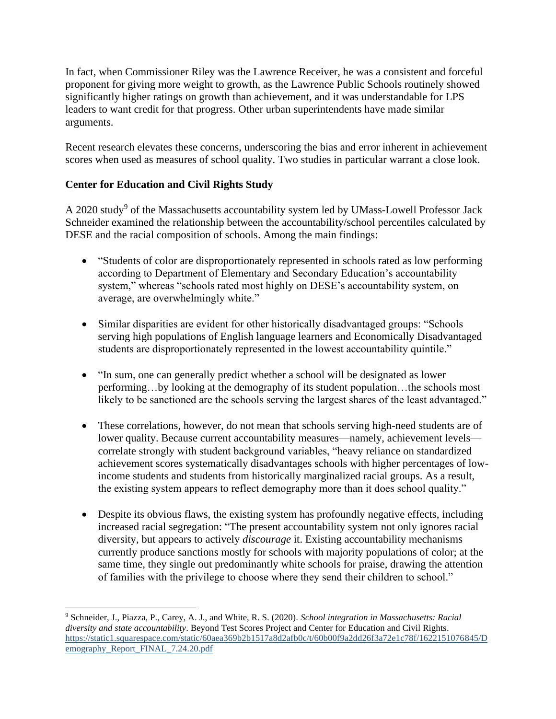In fact, when Commissioner Riley was the Lawrence Receiver, he was a consistent and forceful proponent for giving more weight to growth, as the Lawrence Public Schools routinely showed significantly higher ratings on growth than achievement, and it was understandable for LPS leaders to want credit for that progress. Other urban superintendents have made similar arguments.

Recent research elevates these concerns, underscoring the bias and error inherent in achievement scores when used as measures of school quality. Two studies in particular warrant a close look.

## **Center for Education and Civil Rights Study**

A 2020 study<sup>9</sup> of the Massachusetts accountability system led by UMass-Lowell Professor Jack Schneider examined the relationship between the accountability/school percentiles calculated by DESE and the racial composition of schools. Among the main findings:

- "Students of color are disproportionately represented in schools rated as low performing according to Department of Elementary and Secondary Education's accountability system," whereas "schools rated most highly on DESE's accountability system, on average, are overwhelmingly white."
- Similar disparities are evident for other historically disadvantaged groups: "Schools serving high populations of English language learners and Economically Disadvantaged students are disproportionately represented in the lowest accountability quintile."
- "In sum, one can generally predict whether a school will be designated as lower performing…by looking at the demography of its student population…the schools most likely to be sanctioned are the schools serving the largest shares of the least advantaged."
- These correlations, however, do not mean that schools serving high-need students are of lower quality. Because current accountability measures—namely, achievement levels correlate strongly with student background variables, "heavy reliance on standardized achievement scores systematically disadvantages schools with higher percentages of lowincome students and students from historically marginalized racial groups. As a result, the existing system appears to reflect demography more than it does school quality."
- Despite its obvious flaws, the existing system has profoundly negative effects, including increased racial segregation: "The present accountability system not only ignores racial diversity, but appears to actively *discourage* it. Existing accountability mechanisms currently produce sanctions mostly for schools with majority populations of color; at the same time, they single out predominantly white schools for praise, drawing the attention of families with the privilege to choose where they send their children to school."

<sup>9</sup> Schneider, J., Piazza, P., Carey, A. J., and White, R. S. (2020). *School integration in Massachusetts: Racial diversity and state accountability*. Beyond Test Scores Project and Center for Education and Civil Rights. [https://static1.squarespace.com/static/60aea369b2b1517a8d2afb0c/t/60b00f9a2dd26f3a72e1c78f/1622151076845/D](https://static1.squarespace.com/static/60aea369b2b1517a8d2afb0c/t/60b00f9a2dd26f3a72e1c78f/1622151076845/Demography_Report_FINAL_7.24.20.pdf) [emography\\_Report\\_FINAL\\_7.24.20.pdf](https://static1.squarespace.com/static/60aea369b2b1517a8d2afb0c/t/60b00f9a2dd26f3a72e1c78f/1622151076845/Demography_Report_FINAL_7.24.20.pdf)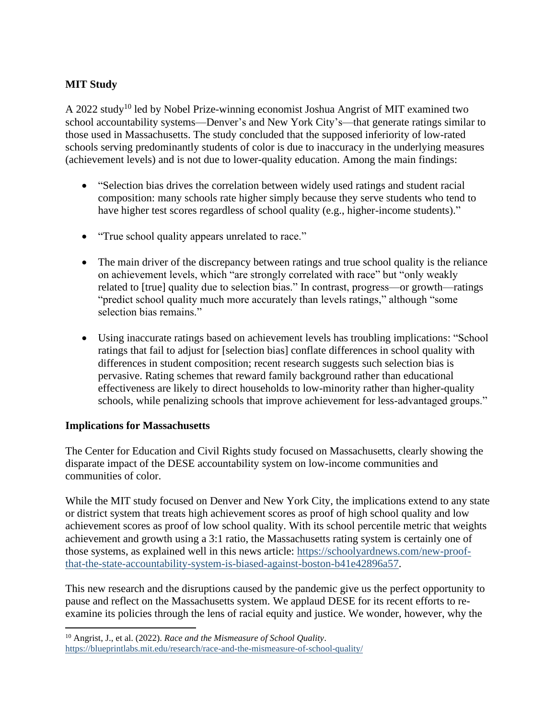## **MIT Study**

A 2022 study<sup>10</sup> led by Nobel Prize-winning economist Joshua Angrist of MIT examined two school accountability systems—Denver's and New York City's—that generate ratings similar to those used in Massachusetts. The study concluded that the supposed inferiority of low-rated schools serving predominantly students of color is due to inaccuracy in the underlying measures (achievement levels) and is not due to lower-quality education. Among the main findings:

- "Selection bias drives the correlation between widely used ratings and student racial composition: many schools rate higher simply because they serve students who tend to have higher test scores regardless of school quality (e.g., higher-income students)."
- "True school quality appears unrelated to race."
- The main driver of the discrepancy between ratings and true school quality is the reliance on achievement levels, which "are strongly correlated with race" but "only weakly related to [true] quality due to selection bias." In contrast, progress—or growth—ratings "predict school quality much more accurately than levels ratings," although "some selection bias remains."
- Using inaccurate ratings based on achievement levels has troubling implications: "School ratings that fail to adjust for [selection bias] conflate differences in school quality with differences in student composition; recent research suggests such selection bias is pervasive. Rating schemes that reward family background rather than educational effectiveness are likely to direct households to low-minority rather than higher-quality schools, while penalizing schools that improve achievement for less-advantaged groups."

## **Implications for Massachusetts**

The Center for Education and Civil Rights study focused on Massachusetts, clearly showing the disparate impact of the DESE accountability system on low-income communities and communities of color.

While the MIT study focused on Denver and New York City, the implications extend to any state or district system that treats high achievement scores as proof of high school quality and low achievement scores as proof of low school quality. With its school percentile metric that weights achievement and growth using a 3:1 ratio, the Massachusetts rating system is certainly one of those systems, as explained well in this news article: [https://schoolyardnews.com/new-proof](https://schoolyardnews.com/new-proof-that-the-state-accountability-system-is-biased-against-boston-b41e42896a57)[that-the-state-accountability-system-is-biased-against-boston-b41e42896a57.](https://schoolyardnews.com/new-proof-that-the-state-accountability-system-is-biased-against-boston-b41e42896a57)

This new research and the disruptions caused by the pandemic give us the perfect opportunity to pause and reflect on the Massachusetts system. We applaud DESE for its recent efforts to reexamine its policies through the lens of racial equity and justice. We wonder, however, why the

<sup>10</sup> Angrist, J., et al. (2022). *Race and the Mismeasure of School Quality*. <https://blueprintlabs.mit.edu/research/race-and-the-mismeasure-of-school-quality/>